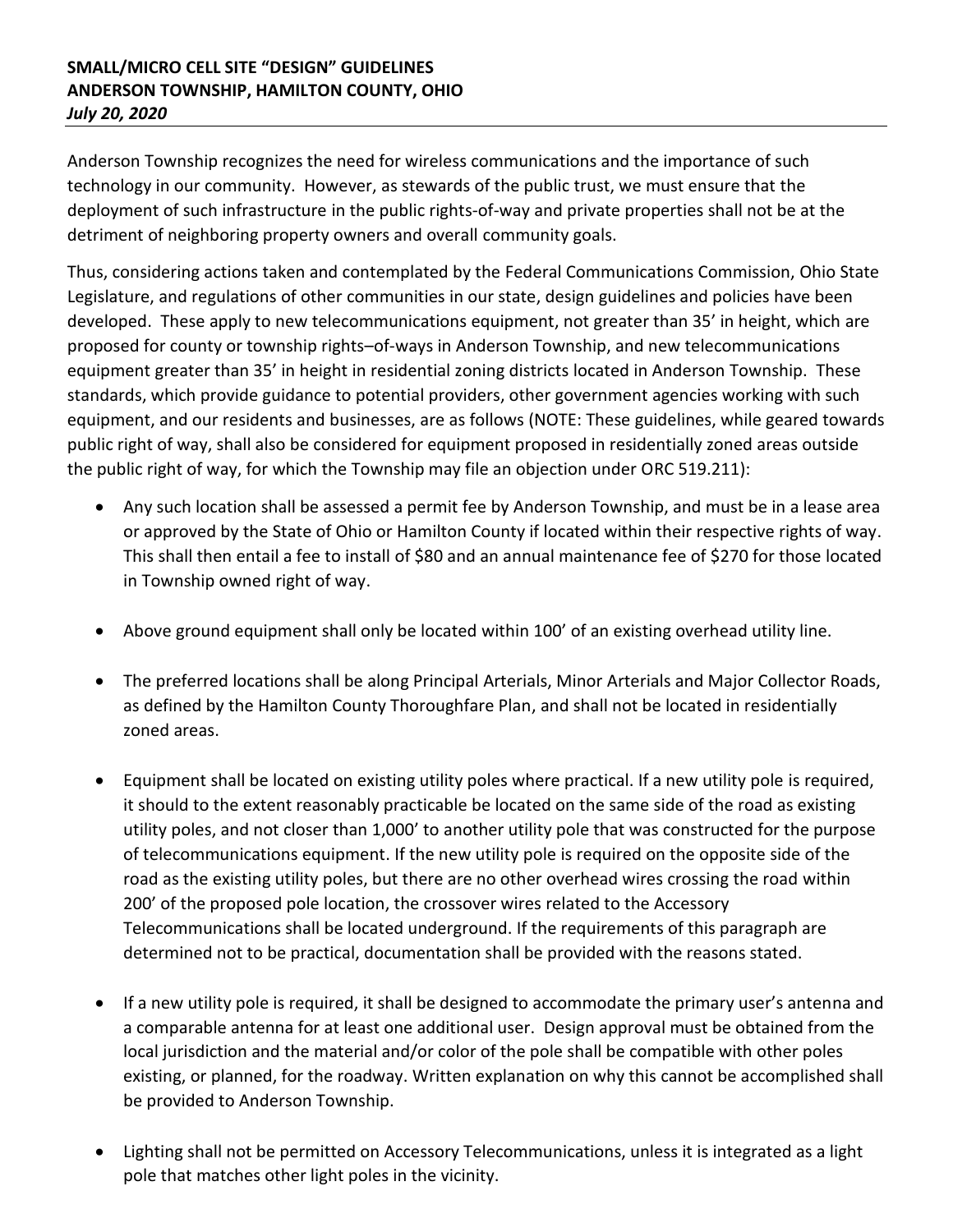## **SMALL/MICRO CELL SITE "DESIGN" GUIDELINES ANDERSON TOWNSHIP, HAMILTON COUNTY, OHIO** *July 20, 2020*

Anderson Township recognizes the need for wireless communications and the importance of such technology in our community. However, as stewards of the public trust, we must ensure that the deployment of such infrastructure in the public rights-of-way and private properties shall not be at the detriment of neighboring property owners and overall community goals.

Thus, considering actions taken and contemplated by the Federal Communications Commission, Ohio State Legislature, and regulations of other communities in our state, design guidelines and policies have been developed. These apply to new telecommunications equipment, not greater than 35' in height, which are proposed for county or township rights–of-ways in Anderson Township, and new telecommunications equipment greater than 35' in height in residential zoning districts located in Anderson Township. These standards, which provide guidance to potential providers, other government agencies working with such equipment, and our residents and businesses, are as follows (NOTE: These guidelines, while geared towards public right of way, shall also be considered for equipment proposed in residentially zoned areas outside the public right of way, for which the Township may file an objection under ORC 519.211):

- Any such location shall be assessed a permit fee by Anderson Township, and must be in a lease area or approved by the State of Ohio or Hamilton County if located within their respective rights of way. This shall then entail a fee to install of \$80 and an annual maintenance fee of \$270 for those located in Township owned right of way.
- Above ground equipment shall only be located within 100' of an existing overhead utility line.
- The preferred locations shall be along Principal Arterials, Minor Arterials and Major Collector Roads, as defined by the Hamilton County Thoroughfare Plan, and shall not be located in residentially zoned areas.
- Equipment shall be located on existing utility poles where practical. If a new utility pole is required, it should to the extent reasonably practicable be located on the same side of the road as existing utility poles, and not closer than 1,000' to another utility pole that was constructed for the purpose of telecommunications equipment. If the new utility pole is required on the opposite side of the road as the existing utility poles, but there are no other overhead wires crossing the road within 200' of the proposed pole location, the crossover wires related to the Accessory Telecommunications shall be located underground. If the requirements of this paragraph are determined not to be practical, documentation shall be provided with the reasons stated.
- If a new utility pole is required, it shall be designed to accommodate the primary user's antenna and a comparable antenna for at least one additional user. Design approval must be obtained from the local jurisdiction and the material and/or color of the pole shall be compatible with other poles existing, or planned, for the roadway. Written explanation on why this cannot be accomplished shall be provided to Anderson Township.
- Lighting shall not be permitted on Accessory Telecommunications, unless it is integrated as a light pole that matches other light poles in the vicinity.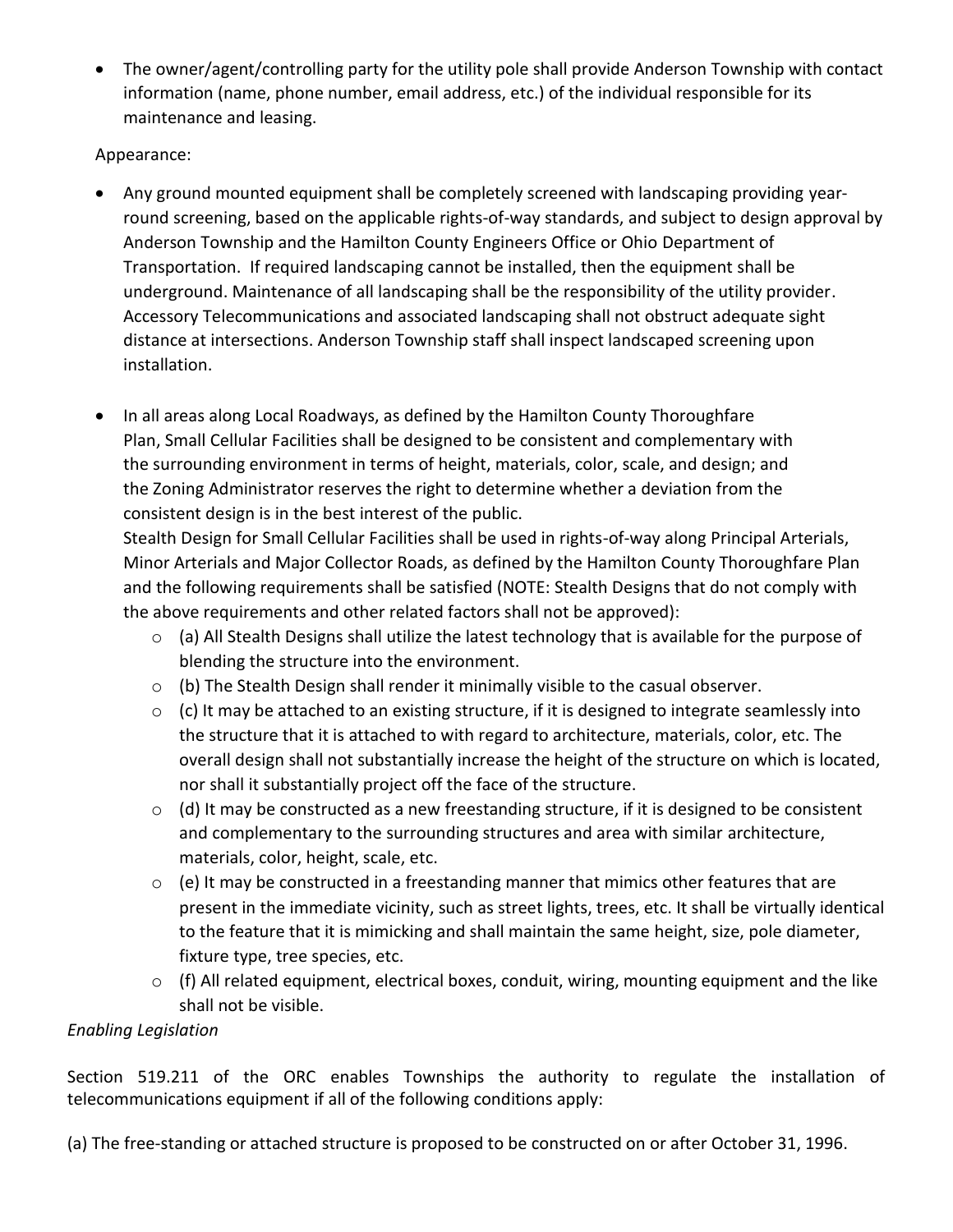• The owner/agent/controlling party for the utility pole shall provide Anderson Township with contact information (name, phone number, email address, etc.) of the individual responsible for its maintenance and leasing.

## Appearance:

- Any ground mounted equipment shall be completely screened with landscaping providing yearround screening, based on the applicable rights-of-way standards, and subject to design approval by Anderson Township and the Hamilton County Engineers Office or Ohio Department of Transportation. If required landscaping cannot be installed, then the equipment shall be underground. Maintenance of all landscaping shall be the responsibility of the utility provider. Accessory Telecommunications and associated landscaping shall not obstruct adequate sight distance at intersections. Anderson Township staff shall inspect landscaped screening upon installation.
- In all areas along Local Roadways, as defined by the Hamilton County Thoroughfare Plan, Small Cellular Facilities shall be designed to be consistent and complementary with the surrounding environment in terms of height, materials, color, scale, and design; and the Zoning Administrator reserves the right to determine whether a deviation from the consistent design is in the best interest of the public.

Stealth Design for Small Cellular Facilities shall be used in rights-of-way along Principal Arterials, Minor Arterials and Major Collector Roads, as defined by the Hamilton County Thoroughfare Plan and the following requirements shall be satisfied (NOTE: Stealth Designs that do not comply with the above requirements and other related factors shall not be approved):

- o (a) All Stealth Designs shall utilize the latest technology that is available for the purpose of blending the structure into the environment.
- $\circ$  (b) The Stealth Design shall render it minimally visible to the casual observer.
- o (c) It may be attached to an existing structure, if it is designed to integrate seamlessly into the structure that it is attached to with regard to architecture, materials, color, etc. The overall design shall not substantially increase the height of the structure on which is located, nor shall it substantially project off the face of the structure.
- $\circ$  (d) It may be constructed as a new freestanding structure, if it is designed to be consistent and complementary to the surrounding structures and area with similar architecture, materials, color, height, scale, etc.
- $\circ$  (e) It may be constructed in a freestanding manner that mimics other features that are present in the immediate vicinity, such as street lights, trees, etc. It shall be virtually identical to the feature that it is mimicking and shall maintain the same height, size, pole diameter, fixture type, tree species, etc.
- $\circ$  (f) All related equipment, electrical boxes, conduit, wiring, mounting equipment and the like shall not be visible.

## *Enabling Legislation*

Section 519.211 of the ORC enables Townships the authority to regulate the installation of telecommunications equipment if all of the following conditions apply:

(a) The free-standing or attached structure is proposed to be constructed on or after October 31, 1996.